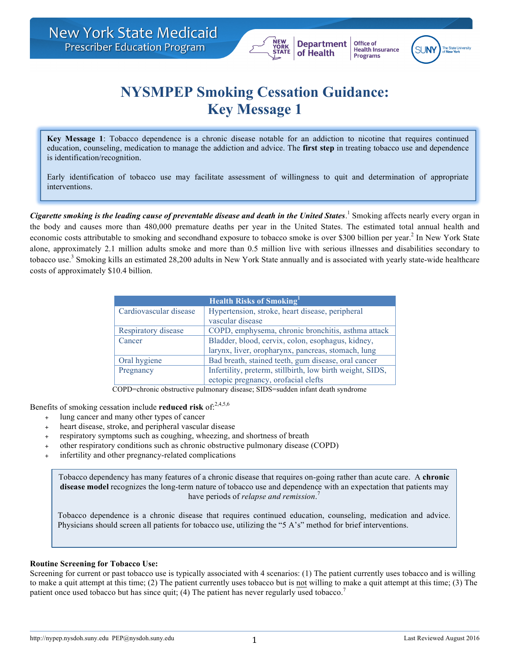

# **NYSMPEP Smoking Cessation Guidance: Key Message 1**

**Department** 

of Health

Office of

**Programs** 

**Key Message 1**: Tobacco dependence is a chronic disease notable for an addiction to nicotine that requires continued education, counseling, medication to manage the addiction and advice. The **first step** in treating tobacco use and dependence is identification/recognition.

Early identification of tobacco use may facilitate assessment of willingness to quit and determination of appropriate interventions.

*Cigarette smoking is the leading cause of preventable disease and death in the United States*. <sup>1</sup> Smoking affects nearly every organ in the body and causes more than 480,000 premature deaths per year in the United States. The estimated total annual health and economic costs attributable to smoking and secondhand exposure to tobacco smoke is over \$300 billion per year.<sup>2</sup> In New York State alone, approximately 2.1 million adults smoke and more than 0.5 million live with serious illnesses and disabilities secondary to tobacco use.<sup>3</sup> Smoking kills an estimated 28,200 adults in New York State annually and is associated with yearly state-wide healthcare costs of approximately \$10.4 billion.

| <b>Health Risks of Smoking</b> |                                                           |  |  |
|--------------------------------|-----------------------------------------------------------|--|--|
| Cardiovascular disease         | Hypertension, stroke, heart disease, peripheral           |  |  |
|                                | vascular disease                                          |  |  |
| Respiratory disease            | COPD, emphysema, chronic bronchitis, asthma attack        |  |  |
| Cancer                         | Bladder, blood, cervix, colon, esophagus, kidney,         |  |  |
|                                | larynx, liver, oropharynx, pancreas, stomach, lung        |  |  |
| Oral hygiene                   | Bad breath, stained teeth, gum disease, oral cancer       |  |  |
| Pregnancy                      | Infertility, preterm, stillbirth, low birth weight, SIDS, |  |  |
|                                | ectopic pregnancy, orofacial clefts                       |  |  |

COPD=chronic obstructive pulmonary disease; SIDS=sudden infant death syndrome

Benefits of smoking cessation include **reduced risk** of:<sup>2,4,5,6</sup>

- + lung cancer and many other types of cancer
- heart disease, stroke, and peripheral vascular disease
- + respiratory symptoms such as coughing, wheezing, and shortness of breath
- other respiratory conditions such as chronic obstructive pulmonary disease (COPD)
- infertility and other pregnancy-related complications

Tobacco dependency has many features of a chronic disease that requires on-going rather than acute care. A **chronic disease model** recognizes the long-term nature of tobacco use and dependence with an expectation that patients may have periods of *relapse and remission*. 7

Tobacco dependence is a chronic disease that requires continued education, counseling, medication and advice. Physicians should screen all patients for tobacco use, utilizing the "5 A's" method for brief interventions.

#### **Routine Screening for Tobacco Use:**

Screening for current or past tobacco use is typically associated with 4 scenarios: (1) The patient currently uses tobacco and is willing to make a quit attempt at this time; (2) The patient currently uses tobacco but is not willing to make a quit attempt at this time; (3) The patient once used tobacco but has since quit; (4) The patient has never regularly used tobacco.<sup>7</sup>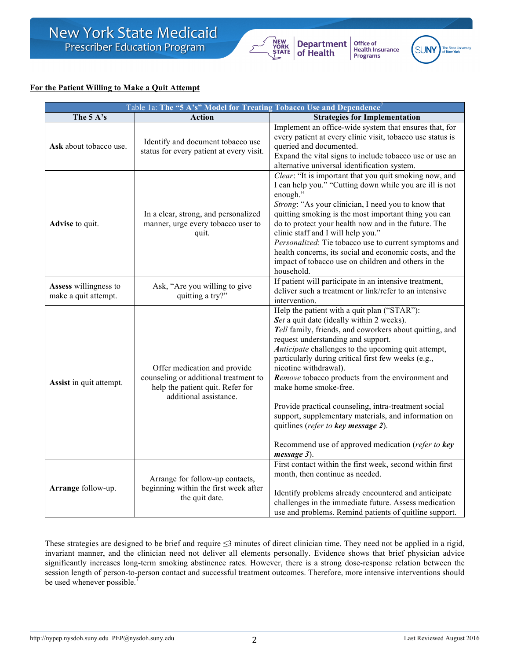#### **For the Patient Willing to Make a Quit Attempt**

| Table 1a: The "5 A's" Model for Treating Tobacco Use and Dependence <sup>7</sup> |                                                                                                                                     |                                                                                                                                                                                                                                                                                                                                                                                                                                                                                                                                                                                                                                           |  |
|----------------------------------------------------------------------------------|-------------------------------------------------------------------------------------------------------------------------------------|-------------------------------------------------------------------------------------------------------------------------------------------------------------------------------------------------------------------------------------------------------------------------------------------------------------------------------------------------------------------------------------------------------------------------------------------------------------------------------------------------------------------------------------------------------------------------------------------------------------------------------------------|--|
| The 5 A's                                                                        | <b>Action</b>                                                                                                                       | <b>Strategies for Implementation</b>                                                                                                                                                                                                                                                                                                                                                                                                                                                                                                                                                                                                      |  |
| Ask about tobacco use.                                                           | Identify and document tobacco use<br>status for every patient at every visit.                                                       | Implement an office-wide system that ensures that, for<br>every patient at every clinic visit, tobacco use status is<br>queried and documented.<br>Expand the vital signs to include tobacco use or use an<br>alternative universal identification system.                                                                                                                                                                                                                                                                                                                                                                                |  |
| Advise to quit.                                                                  | In a clear, strong, and personalized<br>manner, urge every tobacco user to<br>quit.                                                 | Clear: "It is important that you quit smoking now, and<br>I can help you." "Cutting down while you are ill is not<br>enough."<br>Strong: "As your clinician, I need you to know that<br>quitting smoking is the most important thing you can<br>do to protect your health now and in the future. The<br>clinic staff and I will help you."<br>Personalized: Tie tobacco use to current symptoms and<br>health concerns, its social and economic costs, and the<br>impact of tobacco use on children and others in the<br>household.                                                                                                       |  |
| Assess willingness to<br>make a quit attempt.                                    | Ask, "Are you willing to give<br>quitting a try?"                                                                                   | If patient will participate in an intensive treatment,<br>deliver such a treatment or link/refer to an intensive<br>intervention.                                                                                                                                                                                                                                                                                                                                                                                                                                                                                                         |  |
| Assist in quit attempt.                                                          | Offer medication and provide<br>counseling or additional treatment to<br>help the patient quit. Refer for<br>additional assistance. | Help the patient with a quit plan ("STAR"):<br>Set a quit date (ideally within 2 weeks).<br>Tell family, friends, and coworkers about quitting, and<br>request understanding and support.<br>Anticipate challenges to the upcoming quit attempt,<br>particularly during critical first few weeks (e.g.,<br>nicotine withdrawal).<br>Remove tobacco products from the environment and<br>make home smoke-free.<br>Provide practical counseling, intra-treatment social<br>support, supplementary materials, and information on<br>quitlines (refer to key message 2).<br>Recommend use of approved medication (refer to key<br>message 3). |  |
| Arrange follow-up.                                                               | Arrange for follow-up contacts,<br>beginning within the first week after<br>the quit date.                                          | First contact within the first week, second within first<br>month, then continue as needed.<br>Identify problems already encountered and anticipate<br>challenges in the immediate future. Assess medication<br>use and problems. Remind patients of quitline support.                                                                                                                                                                                                                                                                                                                                                                    |  |

NEW<br>YORK<br>STATE

**Department** 

of Health

Office of<br>Health Insurance<br>Programs

**SUNY** 

These strategies are designed to be brief and require ≤3 minutes of direct clinician time. They need not be applied in a rigid, invariant manner, and the clinician need not deliver all elements personally. Evidence shows that brief physician advice significantly increases long-term smoking abstinence rates. However, there is a strong dose-response relation between the session length of person-to-person contact and successful treatment outcomes. Therefore, more intensive interventions should be used whenever possible.<sup>7</sup>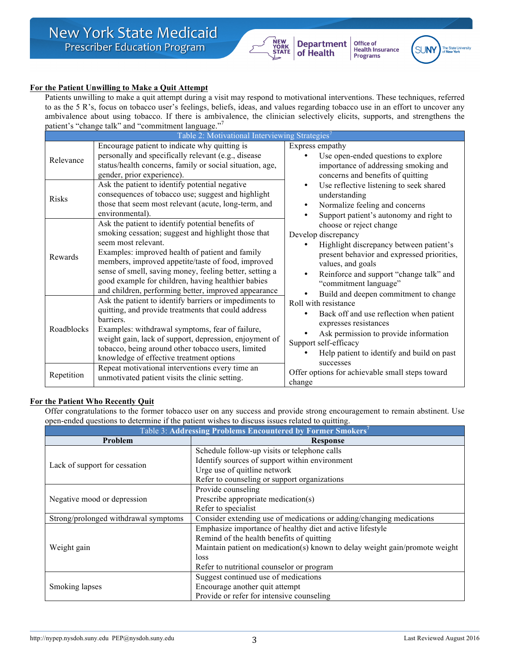#### **For the Patient Unwilling to Make a Quit Attempt**

Patients unwilling to make a quit attempt during a visit may respond to motivational interventions. These techniques, referred to as the 5 R's, focus on tobacco user's feelings, beliefs, ideas, and values regarding tobacco use in an effort to uncover any ambivalence about using tobacco. If there is ambivalence, the clinician selectively elicits, supports, and strengthens the patient's "change talk" and "commitment language."

NEW<br>YORK<br>STATE

**Department** 

of Health

Office of

Health Insurance<br>Programs

|              | Table 2: Motivational Interviewing Strategies <sup>7</sup>                                                                                                                                                                                                                                                                                                                                                        |                                                                                                                                                                                                                                                                           |
|--------------|-------------------------------------------------------------------------------------------------------------------------------------------------------------------------------------------------------------------------------------------------------------------------------------------------------------------------------------------------------------------------------------------------------------------|---------------------------------------------------------------------------------------------------------------------------------------------------------------------------------------------------------------------------------------------------------------------------|
| Relevance    | Encourage patient to indicate why quitting is<br>personally and specifically relevant (e.g., disease<br>status/health concerns, family or social situation, age,<br>gender, prior experience).                                                                                                                                                                                                                    | Express empathy<br>Use open-ended questions to explore<br>importance of addressing smoking and<br>concerns and benefits of quitting                                                                                                                                       |
| <b>Risks</b> | Ask the patient to identify potential negative<br>consequences of tobacco use; suggest and highlight<br>those that seem most relevant (acute, long-term, and<br>environmental).                                                                                                                                                                                                                                   | Use reflective listening to seek shared<br>understanding<br>Normalize feeling and concerns<br>Support patient's autonomy and right to                                                                                                                                     |
| Rewards      | Ask the patient to identify potential benefits of<br>smoking cessation; suggest and highlight those that<br>seem most relevant.<br>Examples: improved health of patient and family<br>members, improved appetite/taste of food, improved<br>sense of smell, saving money, feeling better, setting a<br>good example for children, having healthier babies<br>and children, performing better, improved appearance | choose or reject change<br>Develop discrepancy<br>Highlight discrepancy between patient's<br>present behavior and expressed priorities,<br>values, and goals<br>Reinforce and support "change talk" and<br>"commitment language"<br>Build and deepen commitment to change |
| Roadblocks   | Ask the patient to identify barriers or impediments to<br>quitting, and provide treatments that could address<br>barriers.<br>Examples: withdrawal symptoms, fear of failure,<br>weight gain, lack of support, depression, enjoyment of<br>tobacco, being around other tobacco users, limited<br>knowledge of effective treatment options                                                                         | Roll with resistance<br>Back off and use reflection when patient<br>expresses resistances<br>Ask permission to provide information<br>Support self-efficacy<br>Help patient to identify and build on past<br>successes                                                    |
| Repetition   | Repeat motivational interventions every time an<br>unmotivated patient visits the clinic setting.                                                                                                                                                                                                                                                                                                                 | Offer options for achievable small steps toward<br>change                                                                                                                                                                                                                 |

#### **For the Patient Who Recently Quit**

Offer congratulations to the former tobacco user on any success and provide strong encouragement to remain abstinent. Use open-ended questions to determine if the patient wishes to discuss issues related to quitting.

| Table 3: Addressing Problems Encountered by Former Smokers <sup>7</sup> |                                                                             |  |  |
|-------------------------------------------------------------------------|-----------------------------------------------------------------------------|--|--|
| <b>Problem</b>                                                          | <b>Response</b>                                                             |  |  |
|                                                                         | Schedule follow-up visits or telephone calls                                |  |  |
|                                                                         | Identify sources of support within environment                              |  |  |
| Lack of support for cessation                                           | Urge use of quitline network                                                |  |  |
|                                                                         | Refer to counseling or support organizations                                |  |  |
| Negative mood or depression                                             | Provide counseling                                                          |  |  |
|                                                                         | Prescribe appropriate medication(s)                                         |  |  |
|                                                                         | Refer to specialist                                                         |  |  |
| Strong/prolonged withdrawal symptoms                                    | Consider extending use of medications or adding/changing medications        |  |  |
| Weight gain                                                             | Emphasize importance of healthy diet and active lifestyle                   |  |  |
|                                                                         | Remind of the health benefits of quitting                                   |  |  |
|                                                                         | Maintain patient on medication(s) known to delay weight gain/promote weight |  |  |
|                                                                         | loss                                                                        |  |  |
|                                                                         | Refer to nutritional counselor or program                                   |  |  |
| Smoking lapses                                                          | Suggest continued use of medications                                        |  |  |
|                                                                         | Encourage another quit attempt                                              |  |  |
|                                                                         | Provide or refer for intensive counseling                                   |  |  |